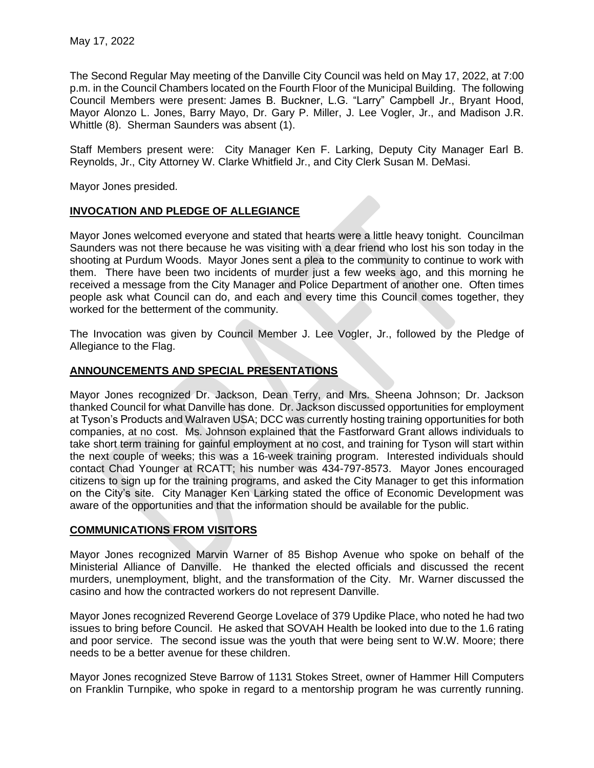The Second Regular May meeting of the Danville City Council was held on May 17, 2022, at 7:00 p.m. in the Council Chambers located on the Fourth Floor of the Municipal Building. The following Council Members were present: James B. Buckner, L.G. "Larry" Campbell Jr., Bryant Hood, Mayor Alonzo L. Jones, Barry Mayo, Dr. Gary P. Miller, J. Lee Vogler, Jr., and Madison J.R. Whittle (8). Sherman Saunders was absent (1).

Staff Members present were: City Manager Ken F. Larking, Deputy City Manager Earl B. Reynolds, Jr., City Attorney W. Clarke Whitfield Jr., and City Clerk Susan M. DeMasi.

Mayor Jones presided.

# **INVOCATION AND PLEDGE OF ALLEGIANCE**

Mayor Jones welcomed everyone and stated that hearts were a little heavy tonight. Councilman Saunders was not there because he was visiting with a dear friend who lost his son today in the shooting at Purdum Woods. Mayor Jones sent a plea to the community to continue to work with them. There have been two incidents of murder just a few weeks ago, and this morning he received a message from the City Manager and Police Department of another one. Often times people ask what Council can do, and each and every time this Council comes together, they worked for the betterment of the community.

The Invocation was given by Council Member J. Lee Vogler, Jr., followed by the Pledge of Allegiance to the Flag.

## **ANNOUNCEMENTS AND SPECIAL PRESENTATIONS**

Mayor Jones recognized Dr. Jackson, Dean Terry, and Mrs. Sheena Johnson; Dr. Jackson thanked Council for what Danville has done. Dr. Jackson discussed opportunities for employment at Tyson's Products and Walraven USA; DCC was currently hosting training opportunities for both companies, at no cost. Ms. Johnson explained that the Fastforward Grant allows individuals to take short term training for gainful employment at no cost, and training for Tyson will start within the next couple of weeks; this was a 16-week training program. Interested individuals should contact Chad Younger at RCATT; his number was 434-797-8573. Mayor Jones encouraged citizens to sign up for the training programs, and asked the City Manager to get this information on the City's site. City Manager Ken Larking stated the office of Economic Development was aware of the opportunities and that the information should be available for the public.

# **COMMUNICATIONS FROM VISITORS**

Mayor Jones recognized Marvin Warner of 85 Bishop Avenue who spoke on behalf of the Ministerial Alliance of Danville. He thanked the elected officials and discussed the recent murders, unemployment, blight, and the transformation of the City. Mr. Warner discussed the casino and how the contracted workers do not represent Danville.

Mayor Jones recognized Reverend George Lovelace of 379 Updike Place, who noted he had two issues to bring before Council. He asked that SOVAH Health be looked into due to the 1.6 rating and poor service. The second issue was the youth that were being sent to W.W. Moore; there needs to be a better avenue for these children.

Mayor Jones recognized Steve Barrow of 1131 Stokes Street, owner of Hammer Hill Computers on Franklin Turnpike, who spoke in regard to a mentorship program he was currently running.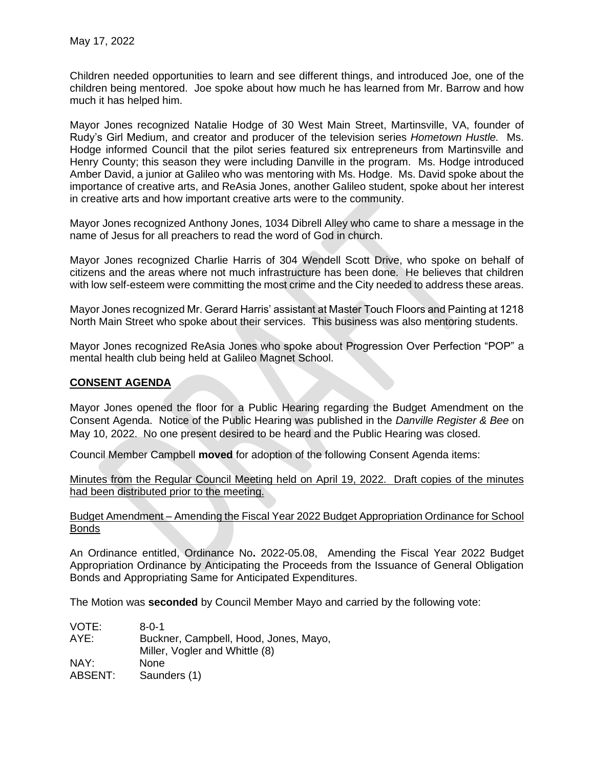Children needed opportunities to learn and see different things, and introduced Joe, one of the children being mentored. Joe spoke about how much he has learned from Mr. Barrow and how much it has helped him.

Mayor Jones recognized Natalie Hodge of 30 West Main Street, Martinsville, VA, founder of Rudy's Girl Medium, and creator and producer of the television series *Hometown Hustle.* Ms. Hodge informed Council that the pilot series featured six entrepreneurs from Martinsville and Henry County; this season they were including Danville in the program. Ms. Hodge introduced Amber David, a junior at Galileo who was mentoring with Ms. Hodge. Ms. David spoke about the importance of creative arts, and ReAsia Jones, another Galileo student, spoke about her interest in creative arts and how important creative arts were to the community.

Mayor Jones recognized Anthony Jones, 1034 Dibrell Alley who came to share a message in the name of Jesus for all preachers to read the word of God in church.

Mayor Jones recognized Charlie Harris of 304 Wendell Scott Drive, who spoke on behalf of citizens and the areas where not much infrastructure has been done. He believes that children with low self-esteem were committing the most crime and the City needed to address these areas.

Mayor Jones recognized Mr. Gerard Harris' assistant at Master Touch Floors and Painting at 1218 North Main Street who spoke about their services. This business was also mentoring students.

Mayor Jones recognized ReAsia Jones who spoke about Progression Over Perfection "POP" a mental health club being held at Galileo Magnet School.

## **CONSENT AGENDA**

Mayor Jones opened the floor for a Public Hearing regarding the Budget Amendment on the Consent Agenda. Notice of the Public Hearing was published in the *Danville Register & Bee* on May 10, 2022. No one present desired to be heard and the Public Hearing was closed.

Council Member Campbell **moved** for adoption of the following Consent Agenda items:

Minutes from the Regular Council Meeting held on April 19, 2022. Draft copies of the minutes had been distributed prior to the meeting.

#### Budget Amendment – Amending the Fiscal Year 2022 Budget Appropriation Ordinance for School Bonds

An Ordinance entitled, Ordinance No**.** 2022-05.08, Amending the Fiscal Year 2022 Budget Appropriation Ordinance by Anticipating the Proceeds from the Issuance of General Obligation Bonds and Appropriating Same for Anticipated Expenditures.

The Motion was **seconded** by Council Member Mayo and carried by the following vote:

VOTE: 8-0-1 AYE: Buckner, Campbell, Hood, Jones, Mayo, Miller, Vogler and Whittle (8) NAY: None ABSENT: Saunders (1)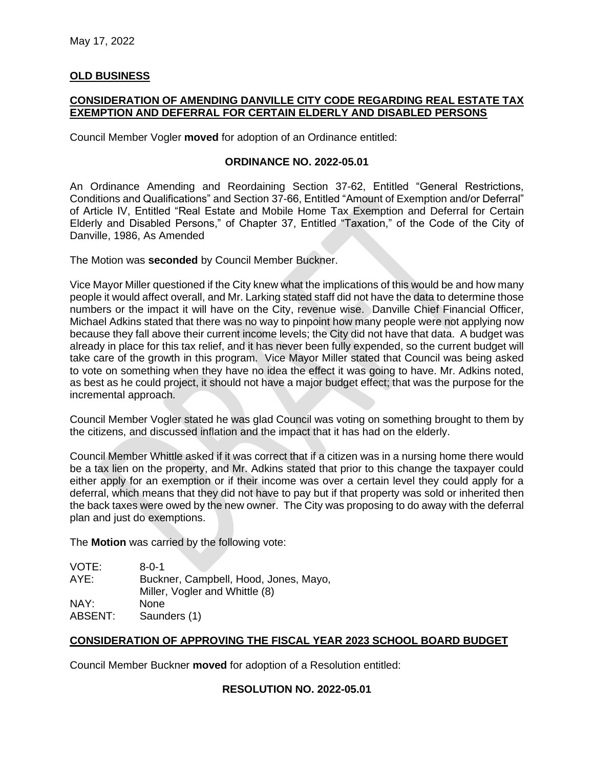### **OLD BUSINESS**

## **CONSIDERATION OF AMENDING DANVILLE CITY CODE REGARDING REAL ESTATE TAX EXEMPTION AND DEFERRAL FOR CERTAIN ELDERLY AND DISABLED PERSONS**

Council Member Vogler **moved** for adoption of an Ordinance entitled:

#### **ORDINANCE NO. 2022-05.01**

An Ordinance Amending and Reordaining Section 37-62, Entitled "General Restrictions, Conditions and Qualifications" and Section 37-66, Entitled "Amount of Exemption and/or Deferral" of Article IV, Entitled "Real Estate and Mobile Home Tax Exemption and Deferral for Certain Elderly and Disabled Persons," of Chapter 37, Entitled "Taxation," of the Code of the City of Danville, 1986, As Amended

The Motion was **seconded** by Council Member Buckner.

Vice Mayor Miller questioned if the City knew what the implications of this would be and how many people it would affect overall, and Mr. Larking stated staff did not have the data to determine those numbers or the impact it will have on the City, revenue wise. Danville Chief Financial Officer, Michael Adkins stated that there was no way to pinpoint how many people were not applying now because they fall above their current income levels; the City did not have that data. A budget was already in place for this tax relief, and it has never been fully expended, so the current budget will take care of the growth in this program. Vice Mayor Miller stated that Council was being asked to vote on something when they have no idea the effect it was going to have. Mr. Adkins noted, as best as he could project, it should not have a major budget effect; that was the purpose for the incremental approach.

Council Member Vogler stated he was glad Council was voting on something brought to them by the citizens, and discussed inflation and the impact that it has had on the elderly.

Council Member Whittle asked if it was correct that if a citizen was in a nursing home there would be a tax lien on the property, and Mr. Adkins stated that prior to this change the taxpayer could either apply for an exemption or if their income was over a certain level they could apply for a deferral, which means that they did not have to pay but if that property was sold or inherited then the back taxes were owed by the new owner. The City was proposing to do away with the deferral plan and just do exemptions.

The **Motion** was carried by the following vote:

| VOTE:   | $8 - 0 - 1$                           |
|---------|---------------------------------------|
| AYE:    | Buckner, Campbell, Hood, Jones, Mayo, |
|         | Miller, Vogler and Whittle (8)        |
| NAY:    | <b>None</b>                           |
| ABSENT: | Saunders (1)                          |

#### **CONSIDERATION OF APPROVING THE FISCAL YEAR 2023 SCHOOL BOARD BUDGET**

Council Member Buckner **moved** for adoption of a Resolution entitled:

#### **RESOLUTION NO. 2022-05.01**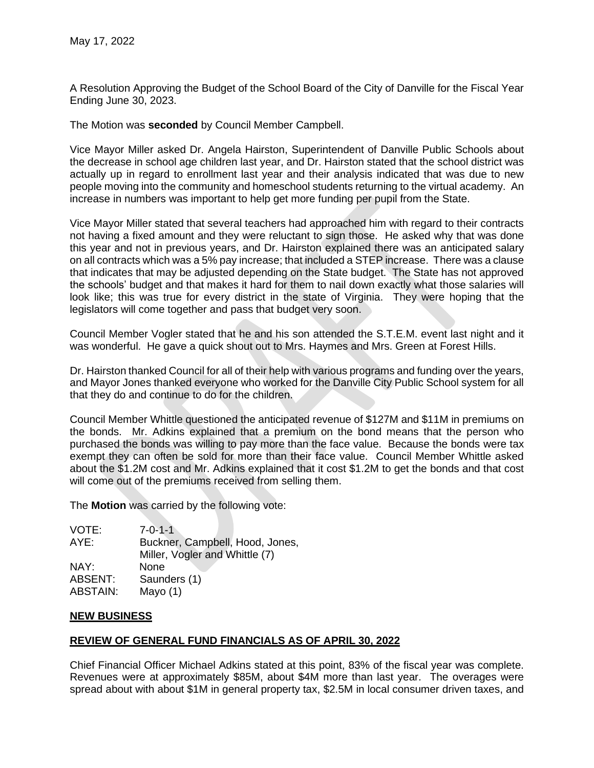A Resolution Approving the Budget of the School Board of the City of Danville for the Fiscal Year Ending June 30, 2023.

The Motion was **seconded** by Council Member Campbell.

Vice Mayor Miller asked Dr. Angela Hairston, Superintendent of Danville Public Schools about the decrease in school age children last year, and Dr. Hairston stated that the school district was actually up in regard to enrollment last year and their analysis indicated that was due to new people moving into the community and homeschool students returning to the virtual academy. An increase in numbers was important to help get more funding per pupil from the State.

Vice Mayor Miller stated that several teachers had approached him with regard to their contracts not having a fixed amount and they were reluctant to sign those. He asked why that was done this year and not in previous years, and Dr. Hairston explained there was an anticipated salary on all contracts which was a 5% pay increase; that included a STEP increase. There was a clause that indicates that may be adjusted depending on the State budget. The State has not approved the schools' budget and that makes it hard for them to nail down exactly what those salaries will look like; this was true for every district in the state of Virginia. They were hoping that the legislators will come together and pass that budget very soon.

Council Member Vogler stated that he and his son attended the S.T.E.M. event last night and it was wonderful. He gave a quick shout out to Mrs. Haymes and Mrs. Green at Forest Hills.

Dr. Hairston thanked Council for all of their help with various programs and funding over the years, and Mayor Jones thanked everyone who worked for the Danville City Public School system for all that they do and continue to do for the children.

Council Member Whittle questioned the anticipated revenue of \$127M and \$11M in premiums on the bonds. Mr. Adkins explained that a premium on the bond means that the person who purchased the bonds was willing to pay more than the face value. Because the bonds were tax exempt they can often be sold for more than their face value. Council Member Whittle asked about the \$1.2M cost and Mr. Adkins explained that it cost \$1.2M to get the bonds and that cost will come out of the premiums received from selling them.

The **Motion** was carried by the following vote:

VOTE: 7-0-1-1 AYE: Buckner, Campbell, Hood, Jones, Miller, Vogler and Whittle (7) NAY: None ABSENT: Saunders (1) ABSTAIN: Mayo (1)

#### **NEW BUSINESS**

# **REVIEW OF GENERAL FUND FINANCIALS AS OF APRIL 30, 2022**

Chief Financial Officer Michael Adkins stated at this point, 83% of the fiscal year was complete. Revenues were at approximately \$85M, about \$4M more than last year. The overages were spread about with about \$1M in general property tax, \$2.5M in local consumer driven taxes, and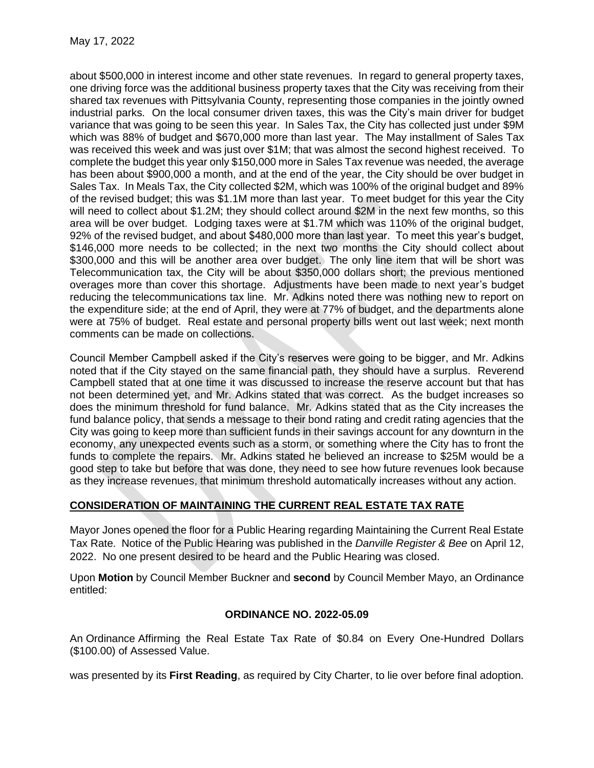about \$500,000 in interest income and other state revenues. In regard to general property taxes, one driving force was the additional business property taxes that the City was receiving from their shared tax revenues with Pittsylvania County, representing those companies in the jointly owned industrial parks. On the local consumer driven taxes, this was the City's main driver for budget variance that was going to be seen this year. In Sales Tax, the City has collected just under \$9M which was 88% of budget and \$670,000 more than last year. The May installment of Sales Tax was received this week and was just over \$1M; that was almost the second highest received. To complete the budget this year only \$150,000 more in Sales Tax revenue was needed, the average has been about \$900,000 a month, and at the end of the year, the City should be over budget in Sales Tax. In Meals Tax, the City collected \$2M, which was 100% of the original budget and 89% of the revised budget; this was \$1.1M more than last year. To meet budget for this year the City will need to collect about \$1.2M; they should collect around \$2M in the next few months, so this area will be over budget. Lodging taxes were at \$1.7M which was 110% of the original budget, 92% of the revised budget, and about \$480,000 more than last year. To meet this year's budget, \$146,000 more needs to be collected; in the next two months the City should collect about \$300,000 and this will be another area over budget. The only line item that will be short was Telecommunication tax, the City will be about \$350,000 dollars short; the previous mentioned overages more than cover this shortage. Adjustments have been made to next year's budget reducing the telecommunications tax line. Mr. Adkins noted there was nothing new to report on the expenditure side; at the end of April, they were at 77% of budget, and the departments alone were at 75% of budget. Real estate and personal property bills went out last week; next month comments can be made on collections.

Council Member Campbell asked if the City's reserves were going to be bigger, and Mr. Adkins noted that if the City stayed on the same financial path, they should have a surplus. Reverend Campbell stated that at one time it was discussed to increase the reserve account but that has not been determined yet, and Mr. Adkins stated that was correct. As the budget increases so does the minimum threshold for fund balance. Mr. Adkins stated that as the City increases the fund balance policy, that sends a message to their bond rating and credit rating agencies that the City was going to keep more than sufficient funds in their savings account for any downturn in the economy, any unexpected events such as a storm, or something where the City has to front the funds to complete the repairs. Mr. Adkins stated he believed an increase to \$25M would be a good step to take but before that was done, they need to see how future revenues look because as they increase revenues, that minimum threshold automatically increases without any action.

# **CONSIDERATION OF MAINTAINING THE CURRENT REAL ESTATE TAX RATE**

Mayor Jones opened the floor for a Public Hearing regarding Maintaining the Current Real Estate Tax Rate. Notice of the Public Hearing was published in the *Danville Register & Bee* on April 12, 2022. No one present desired to be heard and the Public Hearing was closed.

Upon **Motion** by Council Member Buckner and **second** by Council Member Mayo, an Ordinance entitled:

# **ORDINANCE NO. 2022-05.09**

An Ordinance Affirming the Real Estate Tax Rate of \$0.84 on Every One-Hundred Dollars (\$100.00) of Assessed Value.

was presented by its **First Reading**, as required by City Charter, to lie over before final adoption.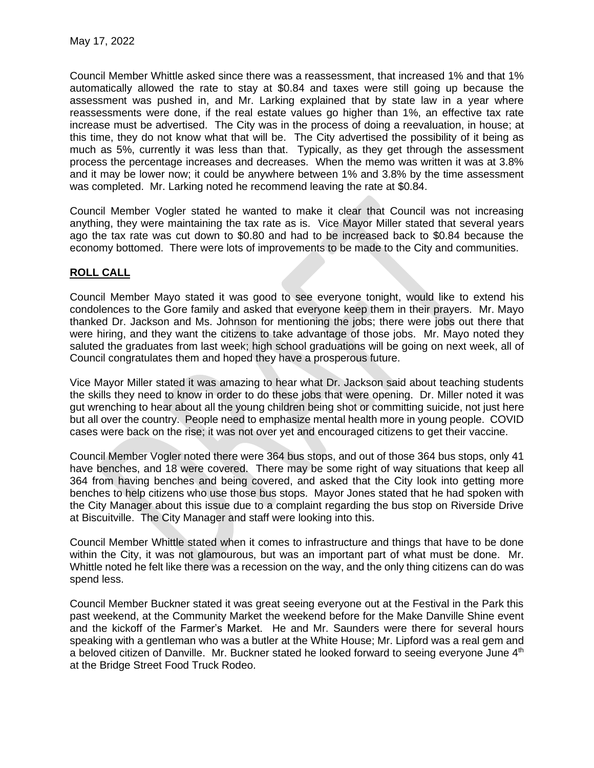Council Member Whittle asked since there was a reassessment, that increased 1% and that 1% automatically allowed the rate to stay at \$0.84 and taxes were still going up because the assessment was pushed in, and Mr. Larking explained that by state law in a year where reassessments were done, if the real estate values go higher than 1%, an effective tax rate increase must be advertised. The City was in the process of doing a reevaluation, in house; at this time, they do not know what that will be. The City advertised the possibility of it being as much as 5%, currently it was less than that. Typically, as they get through the assessment process the percentage increases and decreases. When the memo was written it was at 3.8% and it may be lower now; it could be anywhere between 1% and 3.8% by the time assessment was completed. Mr. Larking noted he recommend leaving the rate at \$0.84.

Council Member Vogler stated he wanted to make it clear that Council was not increasing anything, they were maintaining the tax rate as is. Vice Mayor Miller stated that several years ago the tax rate was cut down to \$0.80 and had to be increased back to \$0.84 because the economy bottomed. There were lots of improvements to be made to the City and communities.

# **ROLL CALL**

Council Member Mayo stated it was good to see everyone tonight, would like to extend his condolences to the Gore family and asked that everyone keep them in their prayers. Mr. Mayo thanked Dr. Jackson and Ms. Johnson for mentioning the jobs; there were jobs out there that were hiring, and they want the citizens to take advantage of those jobs. Mr. Mayo noted they saluted the graduates from last week; high school graduations will be going on next week, all of Council congratulates them and hoped they have a prosperous future.

Vice Mayor Miller stated it was amazing to hear what Dr. Jackson said about teaching students the skills they need to know in order to do these jobs that were opening. Dr. Miller noted it was gut wrenching to hear about all the young children being shot or committing suicide, not just here but all over the country. People need to emphasize mental health more in young people. COVID cases were back on the rise; it was not over yet and encouraged citizens to get their vaccine.

Council Member Vogler noted there were 364 bus stops, and out of those 364 bus stops, only 41 have benches, and 18 were covered. There may be some right of way situations that keep all 364 from having benches and being covered, and asked that the City look into getting more benches to help citizens who use those bus stops. Mayor Jones stated that he had spoken with the City Manager about this issue due to a complaint regarding the bus stop on Riverside Drive at Biscuitville. The City Manager and staff were looking into this.

Council Member Whittle stated when it comes to infrastructure and things that have to be done within the City, it was not glamourous, but was an important part of what must be done. Mr. Whittle noted he felt like there was a recession on the way, and the only thing citizens can do was spend less.

Council Member Buckner stated it was great seeing everyone out at the Festival in the Park this past weekend, at the Community Market the weekend before for the Make Danville Shine event and the kickoff of the Farmer's Market. He and Mr. Saunders were there for several hours speaking with a gentleman who was a butler at the White House; Mr. Lipford was a real gem and a beloved citizen of Danville. Mr. Buckner stated he looked forward to seeing everyone June 4<sup>th</sup> at the Bridge Street Food Truck Rodeo.